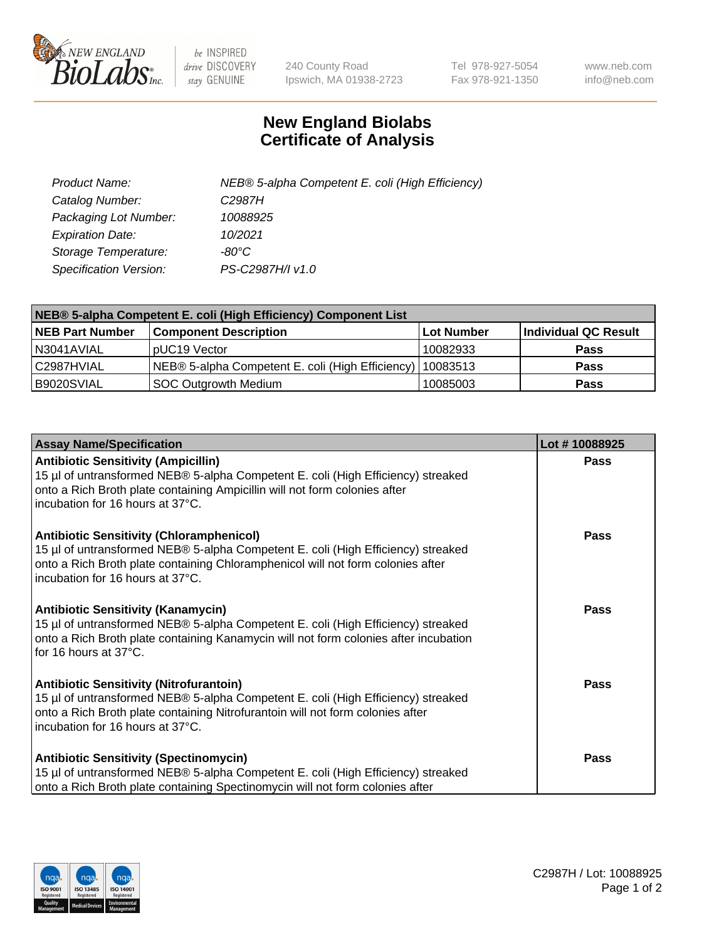

 $be$  INSPIRED drive DISCOVERY stay GENUINE

240 County Road Ipswich, MA 01938-2723 Tel 978-927-5054 Fax 978-921-1350 www.neb.com info@neb.com

## **New England Biolabs Certificate of Analysis**

| Product Name:           | NEB® 5-alpha Competent E. coli (High Efficiency) |
|-------------------------|--------------------------------------------------|
| Catalog Number:         | C <sub>2987</sub> H                              |
| Packaging Lot Number:   | 10088925                                         |
| <b>Expiration Date:</b> | 10/2021                                          |
| Storage Temperature:    | -80°C                                            |
| Specification Version:  | PS-C2987H/I v1.0                                 |

| NEB® 5-alpha Competent E. coli (High Efficiency) Component List |                                                             |                   |                      |  |
|-----------------------------------------------------------------|-------------------------------------------------------------|-------------------|----------------------|--|
| <b>NEB Part Number</b>                                          | <b>Component Description</b>                                | <b>Lot Number</b> | Individual QC Result |  |
| N3041AVIAL                                                      | pUC19 Vector                                                | 10082933          | <b>Pass</b>          |  |
| C2987HVIAL                                                      | NEB® 5-alpha Competent E. coli (High Efficiency)   10083513 |                   | <b>Pass</b>          |  |
| B9020SVIAL                                                      | SOC Outgrowth Medium                                        | 10085003          | <b>Pass</b>          |  |

| <b>Assay Name/Specification</b>                                                                                                                                                                                                                            | Lot #10088925 |
|------------------------------------------------------------------------------------------------------------------------------------------------------------------------------------------------------------------------------------------------------------|---------------|
| <b>Antibiotic Sensitivity (Ampicillin)</b><br>15 µl of untransformed NEB® 5-alpha Competent E. coli (High Efficiency) streaked<br>onto a Rich Broth plate containing Ampicillin will not form colonies after<br>incubation for 16 hours at 37°C.           | <b>Pass</b>   |
| <b>Antibiotic Sensitivity (Chloramphenicol)</b><br>15 µl of untransformed NEB® 5-alpha Competent E. coli (High Efficiency) streaked<br>onto a Rich Broth plate containing Chloramphenicol will not form colonies after<br>incubation for 16 hours at 37°C. | Pass          |
| Antibiotic Sensitivity (Kanamycin)<br>15 µl of untransformed NEB® 5-alpha Competent E. coli (High Efficiency) streaked<br>onto a Rich Broth plate containing Kanamycin will not form colonies after incubation<br>for 16 hours at 37°C.                    | Pass          |
| <b>Antibiotic Sensitivity (Nitrofurantoin)</b><br>15 µl of untransformed NEB® 5-alpha Competent E. coli (High Efficiency) streaked<br>onto a Rich Broth plate containing Nitrofurantoin will not form colonies after<br>incubation for 16 hours at 37°C.   | <b>Pass</b>   |
| <b>Antibiotic Sensitivity (Spectinomycin)</b><br>15 µl of untransformed NEB® 5-alpha Competent E. coli (High Efficiency) streaked<br>onto a Rich Broth plate containing Spectinomycin will not form colonies after                                         | Pass          |